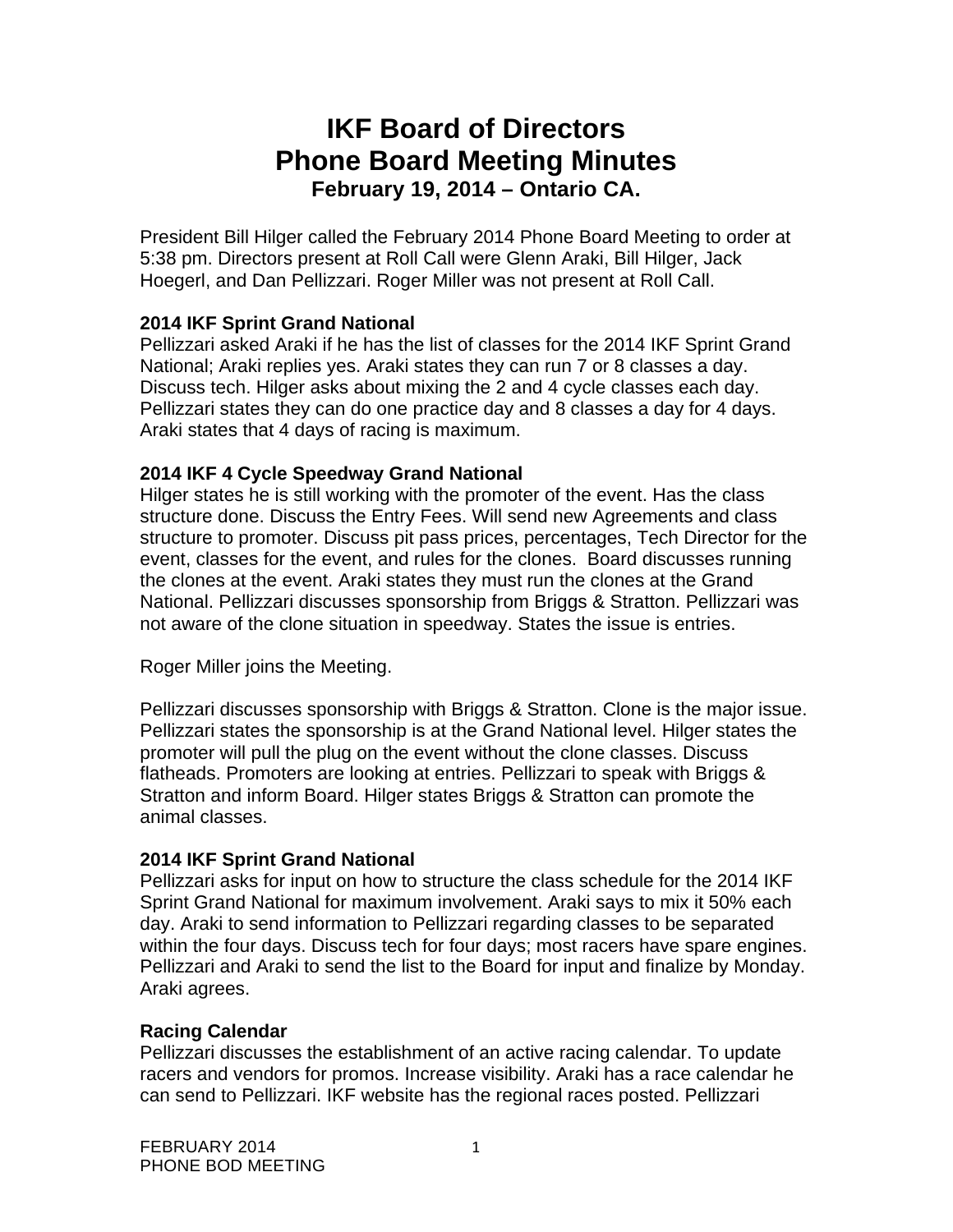# **IKF Board of Directors Phone Board Meeting Minutes February 19, 2014 – Ontario CA.**

President Bill Hilger called the February 2014 Phone Board Meeting to order at 5:38 pm. Directors present at Roll Call were Glenn Araki, Bill Hilger, Jack Hoegerl, and Dan Pellizzari. Roger Miller was not present at Roll Call.

# **2014 IKF Sprint Grand National**

Pellizzari asked Araki if he has the list of classes for the 2014 IKF Sprint Grand National; Araki replies yes. Araki states they can run 7 or 8 classes a day. Discuss tech. Hilger asks about mixing the 2 and 4 cycle classes each day. Pellizzari states they can do one practice day and 8 classes a day for 4 days. Araki states that 4 days of racing is maximum.

## **2014 IKF 4 Cycle Speedway Grand National**

Hilger states he is still working with the promoter of the event. Has the class structure done. Discuss the Entry Fees. Will send new Agreements and class structure to promoter. Discuss pit pass prices, percentages, Tech Director for the event, classes for the event, and rules for the clones. Board discusses running the clones at the event. Araki states they must run the clones at the Grand National. Pellizzari discusses sponsorship from Briggs & Stratton. Pellizzari was not aware of the clone situation in speedway. States the issue is entries.

Roger Miller joins the Meeting.

Pellizzari discusses sponsorship with Briggs & Stratton. Clone is the major issue. Pellizzari states the sponsorship is at the Grand National level. Hilger states the promoter will pull the plug on the event without the clone classes. Discuss flatheads. Promoters are looking at entries. Pellizzari to speak with Briggs & Stratton and inform Board. Hilger states Briggs & Stratton can promote the animal classes.

# **2014 IKF Sprint Grand National**

Pellizzari asks for input on how to structure the class schedule for the 2014 IKF Sprint Grand National for maximum involvement. Araki says to mix it 50% each day. Araki to send information to Pellizzari regarding classes to be separated within the four days. Discuss tech for four days; most racers have spare engines. Pellizzari and Araki to send the list to the Board for input and finalize by Monday. Araki agrees.

#### **Racing Calendar**

Pellizzari discusses the establishment of an active racing calendar. To update racers and vendors for promos. Increase visibility. Araki has a race calendar he can send to Pellizzari. IKF website has the regional races posted. Pellizzari